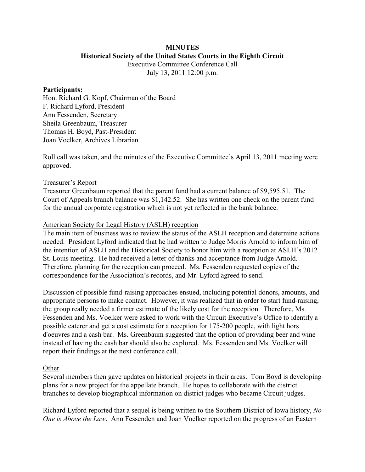# **MINUTES Historical Society of the United States Courts in the Eighth Circuit**

Executive Committee Conference Call July 13, 2011 12:00 p.m.

#### **Participants:**

Hon. Richard G. Kopf, Chairman of the Board F. Richard Lyford, President Ann Fessenden, Secretary Sheila Greenbaum, Treasurer Thomas H. Boyd, Past-President Joan Voelker, Archives Librarian

Roll call was taken, and the minutes of the Executive Committee's April 13, 2011 meeting were approved.

# Treasurer's Report

Treasurer Greenbaum reported that the parent fund had a current balance of \$9,595.51. The Court of Appeals branch balance was \$1,142.52. She has written one check on the parent fund for the annual corporate registration which is not yet reflected in the bank balance.

# American Society for Legal History (ASLH) reception

The main item of business was to review the status of the ASLH reception and determine actions needed. President Lyford indicated that he had written to Judge Morris Arnold to inform him of the intention of ASLH and the Historical Society to honor him with a reception at ASLH's 2012 St. Louis meeting. He had received a letter of thanks and acceptance from Judge Arnold. Therefore, planning for the reception can proceed. Ms. Fessenden requested copies of the correspondence for the Association's records, and Mr. Lyford agreed to send.

Discussion of possible fund-raising approaches ensued, including potential donors, amounts, and appropriate persons to make contact. However, it was realized that in order to start fund-raising, the group really needed a firmer estimate of the likely cost for the reception. Therefore, Ms. Fessenden and Ms. Voelker were asked to work with the Circuit Executive's Office to identify a possible caterer and get a cost estimate for a reception for 175-200 people, with light hors d'oeuvres and a cash bar. Ms. Greenbaum suggested that the option of providing beer and wine instead of having the cash bar should also be explored. Ms. Fessenden and Ms. Voelker will report their findings at the next conference call.

# **Other**

Several members then gave updates on historical projects in their areas. Tom Boyd is developing plans for a new project for the appellate branch. He hopes to collaborate with the district branches to develop biographical information on district judges who became Circuit judges.

Richard Lyford reported that a sequel is being written to the Southern District of Iowa history, *No One is Above the Law*. Ann Fessenden and Joan Voelker reported on the progress of an Eastern